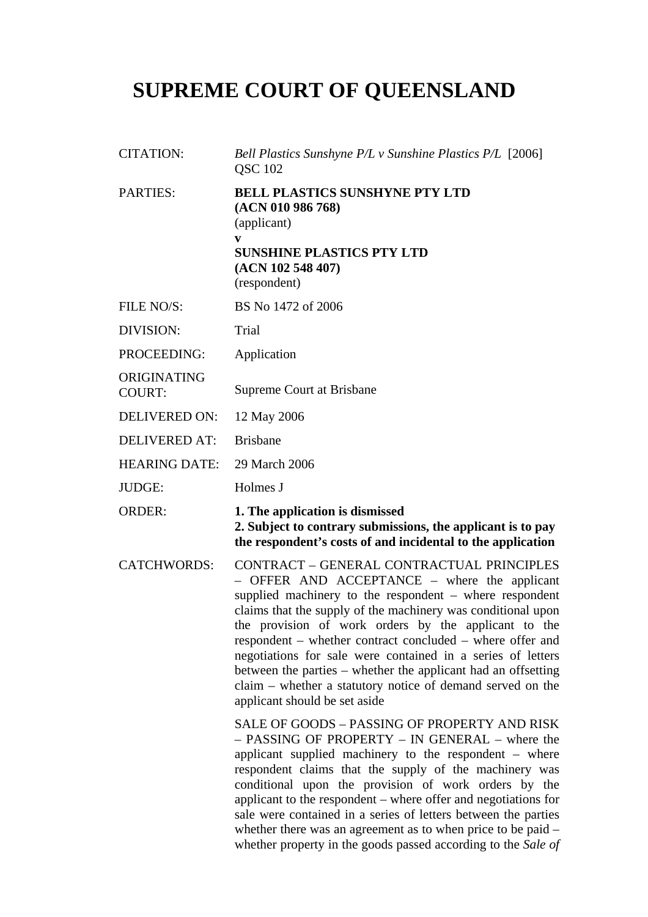## **SUPREME COURT OF QUEENSLAND**

| <b>CITATION:</b>             | Bell Plastics Sunshyne P/L v Sunshine Plastics P/L [2006]<br><b>QSC 102</b>                                                                                                                                                                                                                                                                                                                                                                                                                                                                                              |
|------------------------------|--------------------------------------------------------------------------------------------------------------------------------------------------------------------------------------------------------------------------------------------------------------------------------------------------------------------------------------------------------------------------------------------------------------------------------------------------------------------------------------------------------------------------------------------------------------------------|
| <b>PARTIES:</b>              | <b>BELL PLASTICS SUNSHYNE PTY LTD</b><br>(ACN 010 986 768)<br>(applicant)<br>V<br><b>SUNSHINE PLASTICS PTY LTD</b><br>(ACN 102 548 407)<br>(respondent)                                                                                                                                                                                                                                                                                                                                                                                                                  |
| FILE NO/S:                   | BS No 1472 of 2006                                                                                                                                                                                                                                                                                                                                                                                                                                                                                                                                                       |
| DIVISION:                    | Trial                                                                                                                                                                                                                                                                                                                                                                                                                                                                                                                                                                    |
| PROCEEDING:                  | Application                                                                                                                                                                                                                                                                                                                                                                                                                                                                                                                                                              |
| ORIGINATING<br><b>COURT:</b> | Supreme Court at Brisbane                                                                                                                                                                                                                                                                                                                                                                                                                                                                                                                                                |
| <b>DELIVERED ON:</b>         | 12 May 2006                                                                                                                                                                                                                                                                                                                                                                                                                                                                                                                                                              |
| <b>DELIVERED AT:</b>         | <b>Brisbane</b>                                                                                                                                                                                                                                                                                                                                                                                                                                                                                                                                                          |
| <b>HEARING DATE:</b>         | 29 March 2006                                                                                                                                                                                                                                                                                                                                                                                                                                                                                                                                                            |
| <b>JUDGE:</b>                | Holmes J                                                                                                                                                                                                                                                                                                                                                                                                                                                                                                                                                                 |
| <b>ORDER:</b>                | 1. The application is dismissed<br>2. Subject to contrary submissions, the applicant is to pay                                                                                                                                                                                                                                                                                                                                                                                                                                                                           |
|                              | the respondent's costs of and incidental to the application                                                                                                                                                                                                                                                                                                                                                                                                                                                                                                              |
| <b>CATCHWORDS:</b>           | CONTRACT - GENERAL CONTRACTUAL PRINCIPLES<br>OFFER AND ACCEPTANCE – where the applicant<br>supplied machinery to the respondent $-$ where respondent<br>claims that the supply of the machinery was conditional upon<br>the provision of work orders by the applicant to the<br>respondent – whether contract concluded – where offer and<br>negotiations for sale were contained in a series of letters<br>between the parties – whether the applicant had an offsetting<br>claim – whether a statutory notice of demand served on the<br>applicant should be set aside |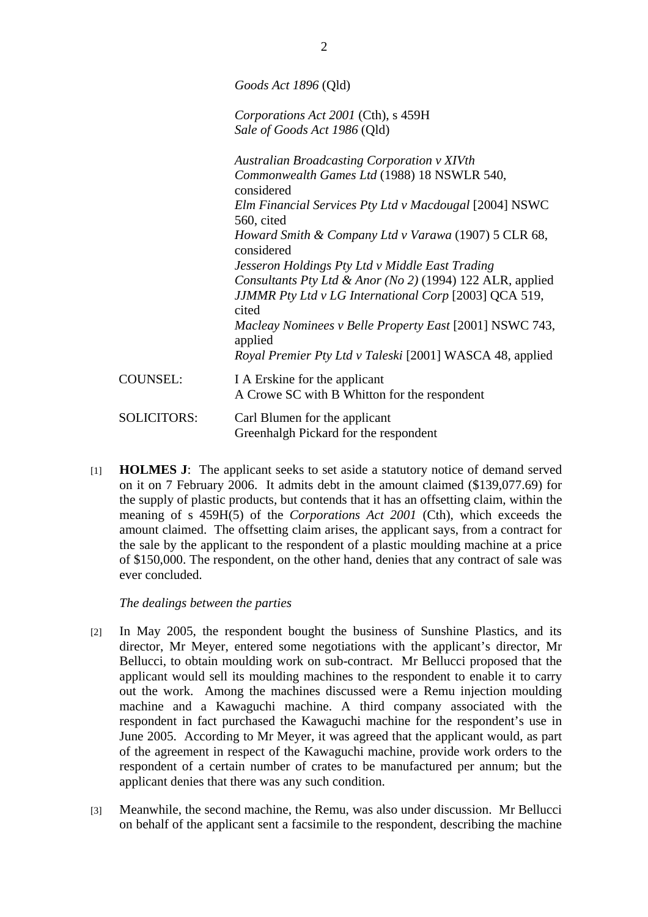*Goods Act 1896* (Qld)

*Corporations Act 2001* (Cth), s 459H *Sale of Goods Act 1986* (Qld)

*Australian Broadcasting Corporation v XIVth Commonwealth Games Ltd* (1988) 18 NSWLR 540, considered *Elm Financial Services Pty Ltd v Macdougal* [2004] NSWC 560, cited *Howard Smith & Company Ltd v Varawa* (1907) 5 CLR 68, considered *Jesseron Holdings Pty Ltd v Middle East Trading Consultants Pty Ltd & Anor (No 2)* (1994) 122 ALR, applied *JJMMR Pty Ltd v LG International Corp* [2003] QCA 519, cited *Macleay Nominees v Belle Property East* [2001] NSWC 743, applied *Royal Premier Pty Ltd v Taleski* [2001] WASCA 48, applied COUNSEL: I A Erskine for the applicant A Crowe SC with B Whitton for the respondent SOLICITORS: Carl Blumen for the applicant Greenhalgh Pickard for the respondent

[1] **HOLMES J**: The applicant seeks to set aside a statutory notice of demand served on it on 7 February 2006. It admits debt in the amount claimed (\$139,077.69) for the supply of plastic products, but contends that it has an offsetting claim, within the meaning of s 459H(5) of the *Corporations Act 2001* (Cth)*,* which exceeds the amount claimed. The offsetting claim arises, the applicant says, from a contract for the sale by the applicant to the respondent of a plastic moulding machine at a price of \$150,000. The respondent, on the other hand, denies that any contract of sale was ever concluded.

*The dealings between the parties* 

- [2] In May 2005, the respondent bought the business of Sunshine Plastics, and its director, Mr Meyer, entered some negotiations with the applicant's director, Mr Bellucci, to obtain moulding work on sub-contract. Mr Bellucci proposed that the applicant would sell its moulding machines to the respondent to enable it to carry out the work. Among the machines discussed were a Remu injection moulding machine and a Kawaguchi machine. A third company associated with the respondent in fact purchased the Kawaguchi machine for the respondent's use in June 2005. According to Mr Meyer, it was agreed that the applicant would, as part of the agreement in respect of the Kawaguchi machine, provide work orders to the respondent of a certain number of crates to be manufactured per annum; but the applicant denies that there was any such condition.
- [3] Meanwhile, the second machine, the Remu, was also under discussion. Mr Bellucci on behalf of the applicant sent a facsimile to the respondent, describing the machine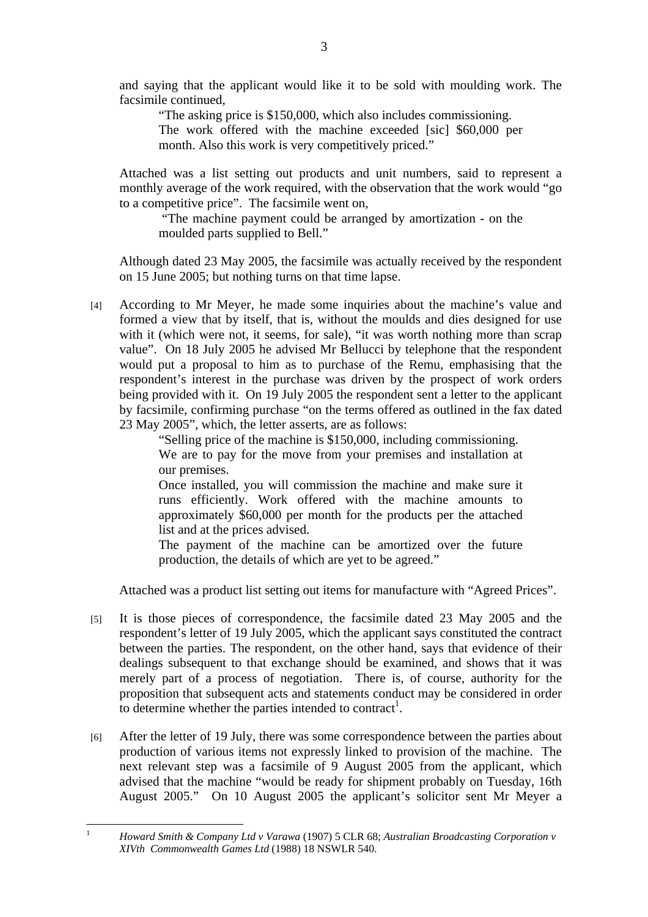and saying that the applicant would like it to be sold with moulding work. The facsimile continued,

"The asking price is \$150,000, which also includes commissioning. The work offered with the machine exceeded [sic] \$60,000 per month. Also this work is very competitively priced."

Attached was a list setting out products and unit numbers, said to represent a monthly average of the work required, with the observation that the work would "go to a competitive price". The facsimile went on,

 "The machine payment could be arranged by amortization - on the moulded parts supplied to Bell."

Although dated 23 May 2005, the facsimile was actually received by the respondent on 15 June 2005; but nothing turns on that time lapse.

[4] According to Mr Meyer, he made some inquiries about the machine's value and formed a view that by itself, that is, without the moulds and dies designed for use with it (which were not, it seems, for sale), "it was worth nothing more than scrap value". On 18 July 2005 he advised Mr Bellucci by telephone that the respondent would put a proposal to him as to purchase of the Remu, emphasising that the respondent's interest in the purchase was driven by the prospect of work orders being provided with it. On 19 July 2005 the respondent sent a letter to the applicant by facsimile, confirming purchase "on the terms offered as outlined in the fax dated 23 May 2005", which, the letter asserts, are as follows:

> "Selling price of the machine is \$150,000, including commissioning. We are to pay for the move from your premises and installation at our premises.

> Once installed, you will commission the machine and make sure it runs efficiently. Work offered with the machine amounts to approximately \$60,000 per month for the products per the attached list and at the prices advised.

> The payment of the machine can be amortized over the future production, the details of which are yet to be agreed."

Attached was a product list setting out items for manufacture with "Agreed Prices".

- [5] It is those pieces of correspondence, the facsimile dated 23 May 2005 and the respondent's letter of 19 July 2005, which the applicant says constituted the contract between the parties. The respondent, on the other hand, says that evidence of their dealings subsequent to that exchange should be examined, and shows that it was merely part of a process of negotiation. There is, of course, authority for the proposition that subsequent acts and statements conduct may be considered in order to determine whether the parties intended to contract<sup>1</sup>.
- [6] After the letter of 19 July, there was some correspondence between the parties about production of various items not expressly linked to provision of the machine. The next relevant step was a facsimile of 9 August 2005 from the applicant, which advised that the machine "would be ready for shipment probably on Tuesday, 16th August 2005." On 10 August 2005 the applicant's solicitor sent Mr Meyer a

 $\frac{1}{1}$ 

*Howard Smith & Company Ltd v Varawa* (1907) 5 CLR 68; *Australian Broadcasting Corporation v XIVth Commonwealth Games Ltd* (1988) 18 NSWLR 540.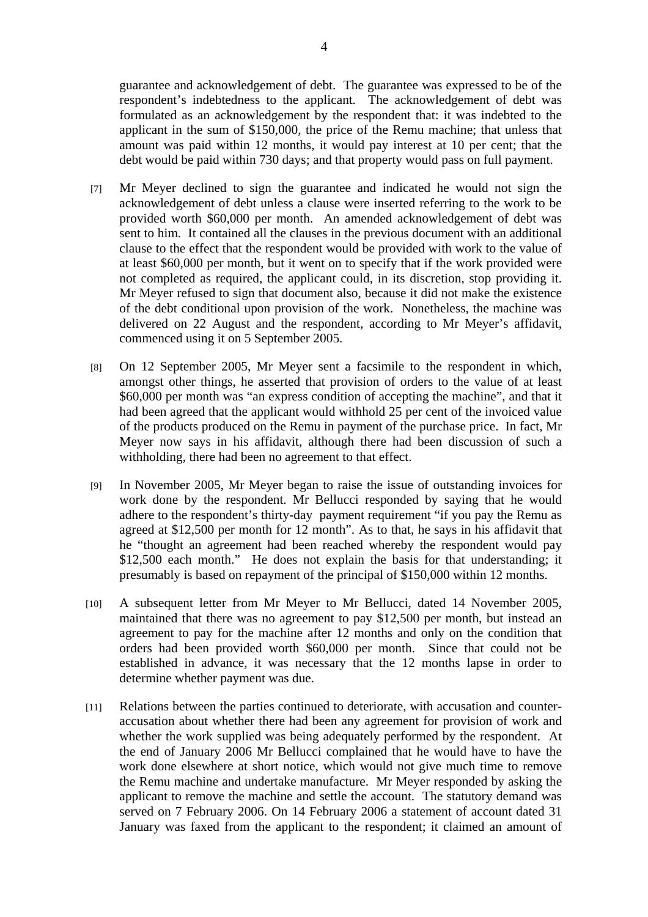guarantee and acknowledgement of debt. The guarantee was expressed to be of the respondent's indebtedness to the applicant. The acknowledgement of debt was formulated as an acknowledgement by the respondent that: it was indebted to the applicant in the sum of \$150,000, the price of the Remu machine; that unless that amount was paid within 12 months, it would pay interest at 10 per cent; that the debt would be paid within 730 days; and that property would pass on full payment.

- [7] Mr Meyer declined to sign the guarantee and indicated he would not sign the acknowledgement of debt unless a clause were inserted referring to the work to be provided worth \$60,000 per month. An amended acknowledgement of debt was sent to him. It contained all the clauses in the previous document with an additional clause to the effect that the respondent would be provided with work to the value of at least \$60,000 per month, but it went on to specify that if the work provided were not completed as required, the applicant could, in its discretion, stop providing it. Mr Meyer refused to sign that document also, because it did not make the existence of the debt conditional upon provision of the work. Nonetheless, the machine was delivered on 22 August and the respondent, according to Mr Meyer's affidavit, commenced using it on 5 September 2005.
- [8] On 12 September 2005, Mr Meyer sent a facsimile to the respondent in which, amongst other things, he asserted that provision of orders to the value of at least \$60,000 per month was "an express condition of accepting the machine", and that it had been agreed that the applicant would withhold 25 per cent of the invoiced value of the products produced on the Remu in payment of the purchase price. In fact, Mr Meyer now says in his affidavit, although there had been discussion of such a withholding, there had been no agreement to that effect.
- [9] In November 2005, Mr Meyer began to raise the issue of outstanding invoices for work done by the respondent. Mr Bellucci responded by saying that he would adhere to the respondent's thirty-day payment requirement "if you pay the Remu as agreed at \$12,500 per month for 12 month". As to that, he says in his affidavit that he "thought an agreement had been reached whereby the respondent would pay \$12,500 each month." He does not explain the basis for that understanding; it presumably is based on repayment of the principal of \$150,000 within 12 months.
- [10] A subsequent letter from Mr Meyer to Mr Bellucci, dated 14 November 2005, maintained that there was no agreement to pay \$12,500 per month, but instead an agreement to pay for the machine after 12 months and only on the condition that orders had been provided worth \$60,000 per month. Since that could not be established in advance, it was necessary that the 12 months lapse in order to determine whether payment was due.
- [11] Relations between the parties continued to deteriorate, with accusation and counteraccusation about whether there had been any agreement for provision of work and whether the work supplied was being adequately performed by the respondent. At the end of January 2006 Mr Bellucci complained that he would have to have the work done elsewhere at short notice, which would not give much time to remove the Remu machine and undertake manufacture. Mr Meyer responded by asking the applicant to remove the machine and settle the account. The statutory demand was served on 7 February 2006. On 14 February 2006 a statement of account dated 31 January was faxed from the applicant to the respondent; it claimed an amount of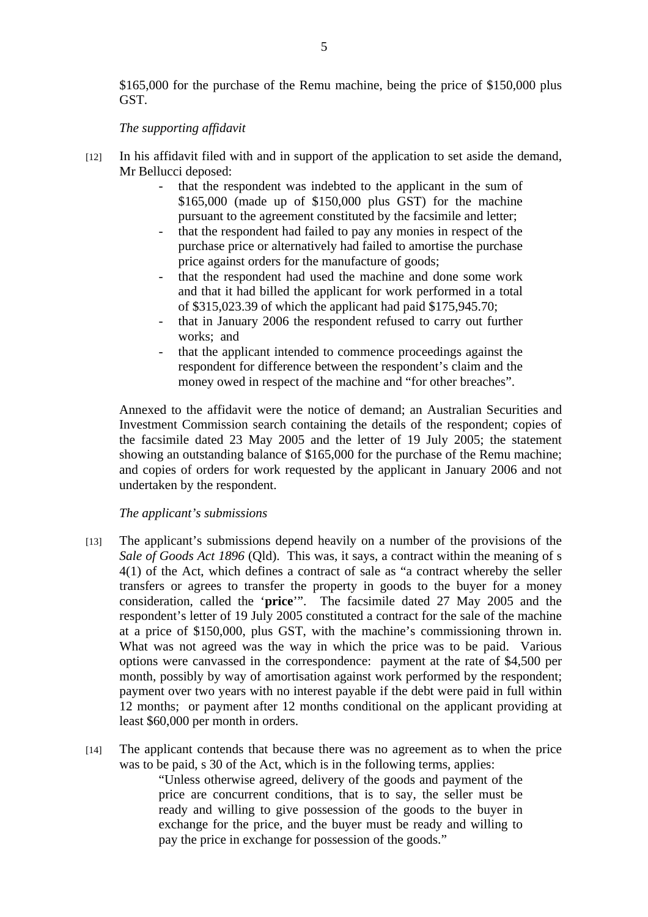\$165,000 for the purchase of the Remu machine, being the price of \$150,000 plus GST.

## *The supporting affidavit*

- [12] In his affidavit filed with and in support of the application to set aside the demand, Mr Bellucci deposed:
	- that the respondent was indebted to the applicant in the sum of \$165,000 (made up of \$150,000 plus GST) for the machine pursuant to the agreement constituted by the facsimile and letter;
	- that the respondent had failed to pay any monies in respect of the purchase price or alternatively had failed to amortise the purchase price against orders for the manufacture of goods;
	- that the respondent had used the machine and done some work and that it had billed the applicant for work performed in a total of \$315,023.39 of which the applicant had paid \$175,945.70;
	- that in January 2006 the respondent refused to carry out further works; and
	- that the applicant intended to commence proceedings against the respondent for difference between the respondent's claim and the money owed in respect of the machine and "for other breaches".

Annexed to the affidavit were the notice of demand; an Australian Securities and Investment Commission search containing the details of the respondent; copies of the facsimile dated 23 May 2005 and the letter of 19 July 2005; the statement showing an outstanding balance of \$165,000 for the purchase of the Remu machine; and copies of orders for work requested by the applicant in January 2006 and not undertaken by the respondent.

## *The applicant's submissions*

- [13] The applicant's submissions depend heavily on a number of the provisions of the *Sale of Goods Act 1896* (Qld). This was, it says, a contract within the meaning of s 4(1) of the Act, which defines a contract of sale as "a contract whereby the seller transfers or agrees to transfer the property in goods to the buyer for a money consideration, called the '**price**'". The facsimile dated 27 May 2005 and the respondent's letter of 19 July 2005 constituted a contract for the sale of the machine at a price of \$150,000, plus GST, with the machine's commissioning thrown in. What was not agreed was the way in which the price was to be paid. Various options were canvassed in the correspondence: payment at the rate of \$4,500 per month, possibly by way of amortisation against work performed by the respondent; payment over two years with no interest payable if the debt were paid in full within 12 months; or payment after 12 months conditional on the applicant providing at least \$60,000 per month in orders.
- [14] The applicant contends that because there was no agreement as to when the price was to be paid, s 30 of the Act*,* which is in the following terms, applies:

"Unless otherwise agreed, delivery of the goods and payment of the price are concurrent conditions, that is to say, the seller must be ready and willing to give possession of the goods to the buyer in exchange for the price, and the buyer must be ready and willing to pay the price in exchange for possession of the goods."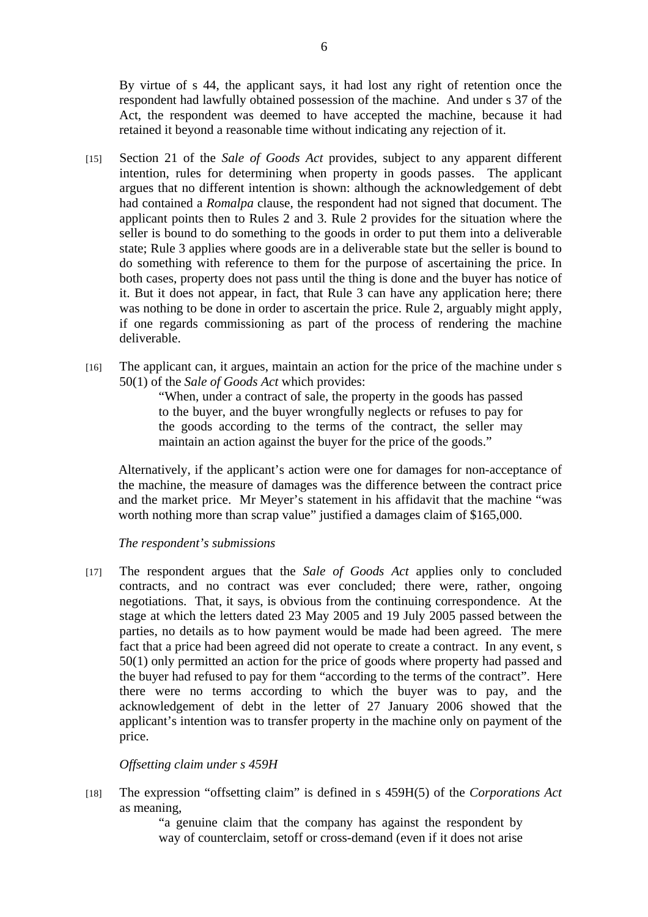By virtue of s 44, the applicant says, it had lost any right of retention once the respondent had lawfully obtained possession of the machine. And under s 37 of the Act, the respondent was deemed to have accepted the machine, because it had retained it beyond a reasonable time without indicating any rejection of it.

- [15] Section 21 of the *Sale of Goods Act* provides, subject to any apparent different intention, rules for determining when property in goods passes. The applicant argues that no different intention is shown: although the acknowledgement of debt had contained a *Romalpa* clause, the respondent had not signed that document. The applicant points then to Rules 2 and 3. Rule 2 provides for the situation where the seller is bound to do something to the goods in order to put them into a deliverable state; Rule 3 applies where goods are in a deliverable state but the seller is bound to do something with reference to them for the purpose of ascertaining the price. In both cases, property does not pass until the thing is done and the buyer has notice of it. But it does not appear, in fact, that Rule 3 can have any application here; there was nothing to be done in order to ascertain the price. Rule 2, arguably might apply, if one regards commissioning as part of the process of rendering the machine deliverable.
- [16] The applicant can, it argues, maintain an action for the price of the machine under s 50(1) of the *Sale of Goods Act* which provides:

"When, under a contract of sale, the property in the goods has passed to the buyer, and the buyer wrongfully neglects or refuses to pay for the goods according to the terms of the contract, the seller may maintain an action against the buyer for the price of the goods."

Alternatively, if the applicant's action were one for damages for non-acceptance of the machine, the measure of damages was the difference between the contract price and the market price. Mr Meyer's statement in his affidavit that the machine "was worth nothing more than scrap value" justified a damages claim of \$165,000.

*The respondent's submissions* 

[17] The respondent argues that the *Sale of Goods Act* applies only to concluded contracts, and no contract was ever concluded; there were, rather, ongoing negotiations. That, it says, is obvious from the continuing correspondence. At the stage at which the letters dated 23 May 2005 and 19 July 2005 passed between the parties, no details as to how payment would be made had been agreed. The mere fact that a price had been agreed did not operate to create a contract. In any event, s 50(1) only permitted an action for the price of goods where property had passed and the buyer had refused to pay for them "according to the terms of the contract". Here there were no terms according to which the buyer was to pay, and the acknowledgement of debt in the letter of 27 January 2006 showed that the applicant's intention was to transfer property in the machine only on payment of the price.

## *Offsetting claim under s 459H*

[18] The expression "offsetting claim" is defined in s 459H(5) of the *Corporations Act*  as meaning,

> "a genuine claim that the company has against the respondent by way of counterclaim, setoff or cross-demand (even if it does not arise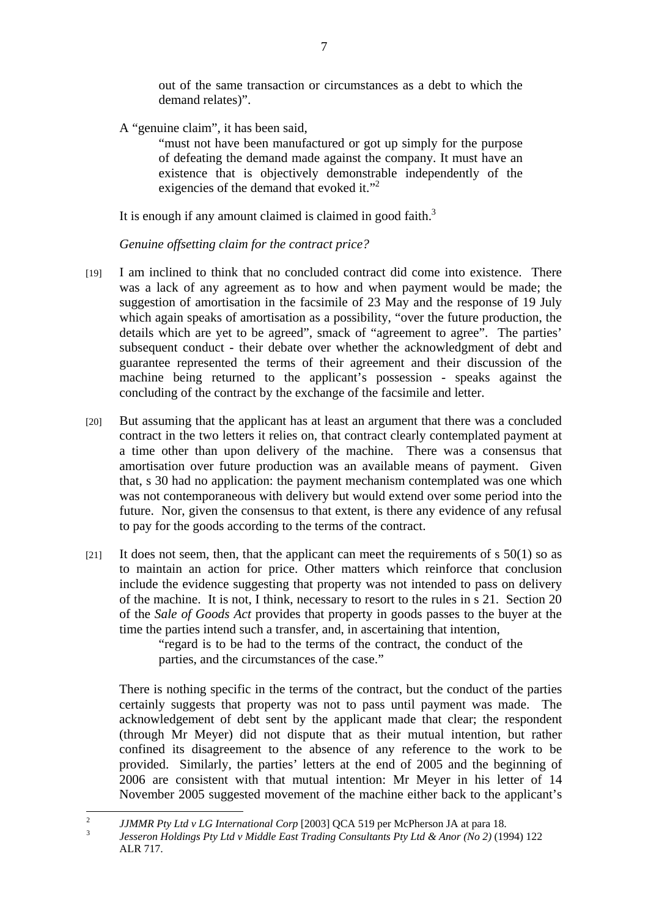out of the same transaction or circumstances as a debt to which the demand relates)".

A "genuine claim", it has been said,

"must not have been manufactured or got up simply for the purpose of defeating the demand made against the company. It must have an existence that is objectively demonstrable independently of the exigencies of the demand that evoked it."<sup>2</sup>

It is enough if any amount claimed is claimed in good faith.<sup>3</sup>

*Genuine offsetting claim for the contract price?* 

- [19] I am inclined to think that no concluded contract did come into existence. There was a lack of any agreement as to how and when payment would be made; the suggestion of amortisation in the facsimile of 23 May and the response of 19 July which again speaks of amortisation as a possibility, "over the future production, the details which are yet to be agreed", smack of "agreement to agree". The parties' subsequent conduct - their debate over whether the acknowledgment of debt and guarantee represented the terms of their agreement and their discussion of the machine being returned to the applicant's possession - speaks against the concluding of the contract by the exchange of the facsimile and letter.
- [20] But assuming that the applicant has at least an argument that there was a concluded contract in the two letters it relies on, that contract clearly contemplated payment at a time other than upon delivery of the machine. There was a consensus that amortisation over future production was an available means of payment. Given that, s 30 had no application: the payment mechanism contemplated was one which was not contemporaneous with delivery but would extend over some period into the future. Nor, given the consensus to that extent, is there any evidence of any refusal to pay for the goods according to the terms of the contract.
- $[21]$  It does not seem, then, that the applicant can meet the requirements of s 50(1) so as to maintain an action for price. Other matters which reinforce that conclusion include the evidence suggesting that property was not intended to pass on delivery of the machine. It is not, I think, necessary to resort to the rules in s 21. Section 20 of the *Sale of Goods Act* provides that property in goods passes to the buyer at the time the parties intend such a transfer, and, in ascertaining that intention,

"regard is to be had to the terms of the contract, the conduct of the parties, and the circumstances of the case."

There is nothing specific in the terms of the contract, but the conduct of the parties certainly suggests that property was not to pass until payment was made. The acknowledgement of debt sent by the applicant made that clear; the respondent (through Mr Meyer) did not dispute that as their mutual intention, but rather confined its disagreement to the absence of any reference to the work to be provided. Similarly, the parties' letters at the end of 2005 and the beginning of 2006 are consistent with that mutual intention: Mr Meyer in his letter of 14 November 2005 suggested movement of the machine either back to the applicant's

 $\frac{1}{2}$ <sup>2</sup> *JJMMR Pty Ltd v LG International Corp* [2003] QCA 519 per McPherson JA at para 18.

*Jesseron Holdings Pty Ltd v Middle East Trading Consultants Pty Ltd & Anor (No 2)* (1994) 122 ALR 717.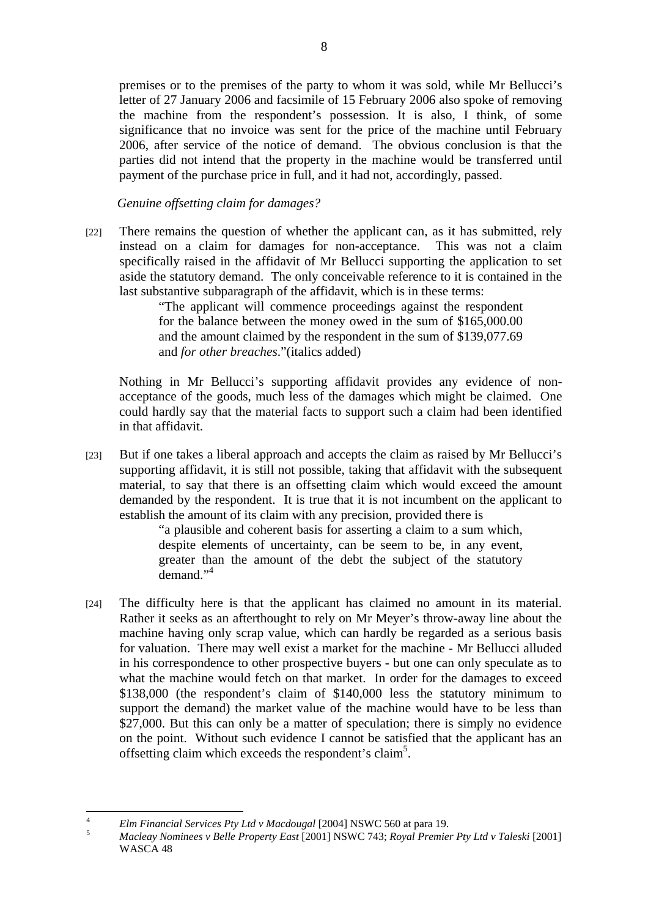premises or to the premises of the party to whom it was sold, while Mr Bellucci's letter of 27 January 2006 and facsimile of 15 February 2006 also spoke of removing the machine from the respondent's possession. It is also, I think, of some significance that no invoice was sent for the price of the machine until February 2006, after service of the notice of demand. The obvious conclusion is that the parties did not intend that the property in the machine would be transferred until payment of the purchase price in full, and it had not, accordingly, passed.

*Genuine offsetting claim for damages?* 

[22] There remains the question of whether the applicant can, as it has submitted, rely instead on a claim for damages for non-acceptance. This was not a claim specifically raised in the affidavit of Mr Bellucci supporting the application to set aside the statutory demand. The only conceivable reference to it is contained in the last substantive subparagraph of the affidavit, which is in these terms:

> "The applicant will commence proceedings against the respondent for the balance between the money owed in the sum of \$165,000.00 and the amount claimed by the respondent in the sum of \$139,077.69 and *for other breaches*."(italics added)

Nothing in Mr Bellucci's supporting affidavit provides any evidence of nonacceptance of the goods, much less of the damages which might be claimed. One could hardly say that the material facts to support such a claim had been identified in that affidavit.

[23] But if one takes a liberal approach and accepts the claim as raised by Mr Bellucci's supporting affidavit, it is still not possible, taking that affidavit with the subsequent material, to say that there is an offsetting claim which would exceed the amount demanded by the respondent. It is true that it is not incumbent on the applicant to establish the amount of its claim with any precision, provided there is

"a plausible and coherent basis for asserting a claim to a sum which, despite elements of uncertainty, can be seem to be, in any event, greater than the amount of the debt the subject of the statutory demand."<sup>4</sup>

[24] The difficulty here is that the applicant has claimed no amount in its material. Rather it seeks as an afterthought to rely on Mr Meyer's throw-away line about the machine having only scrap value, which can hardly be regarded as a serious basis for valuation. There may well exist a market for the machine - Mr Bellucci alluded in his correspondence to other prospective buyers - but one can only speculate as to what the machine would fetch on that market. In order for the damages to exceed \$138,000 (the respondent's claim of \$140,000 less the statutory minimum to support the demand) the market value of the machine would have to be less than \$27,000. But this can only be a matter of speculation; there is simply no evidence on the point. Without such evidence I cannot be satisfied that the applicant has an offsetting claim which exceeds the respondent's claim<sup>5</sup>.

 $\frac{1}{4}$ *Elm Financial Services Pty Ltd v Macdougal* [2004] NSWC 560 at para 19. 5

*Macleay Nominees v Belle Property East* [2001] NSWC 743; *Royal Premier Pty Ltd v Taleski* [2001] WASCA 48